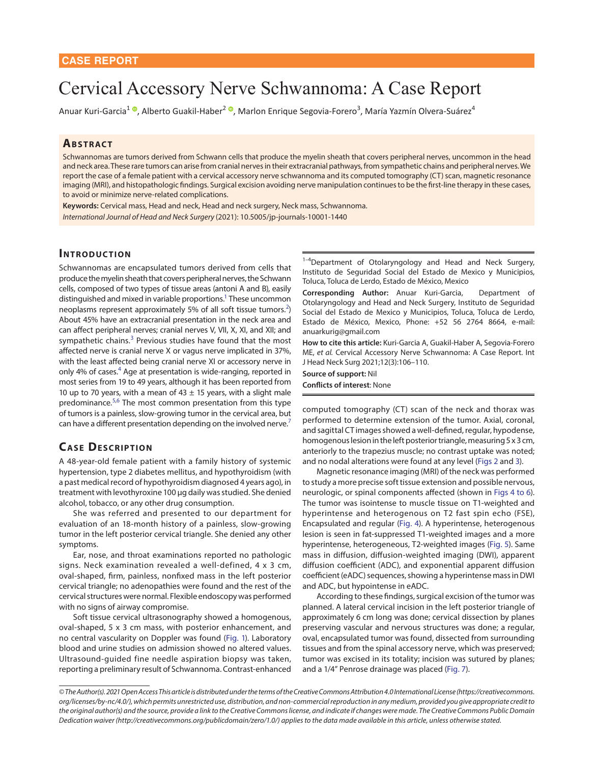# Cervical Accessory Nerve Schwannoma: A Case Report

Anuar Kuri-Garcia<sup>1 ©</sup>, Alberto Guakil-Haber<sup>2 ©</sup>, Marlon Enrique Segovia-Forero<sup>3</sup>, María Yazmín Olvera-Suárez<sup>4</sup>

### **ABSTRACT**

Schwannomas are tumors derived from Schwann cells that produce the myelin sheath that covers peripheral nerves, uncommon in the head and neck area. These rare tumors can arise from cranial nerves in their extracranial pathways, from sympathetic chains and peripheral nerves. We report the case of a female patient with a cervical accessory nerve schwannoma and its computed tomography (CT) scan, magnetic resonance imaging (MRI), and histopathologic findings. Surgical excision avoiding nerve manipulation continues to be the first-line therapy in these cases, to avoid or minimize nerve-related complications.

**Keywords:** Cervical mass, Head and neck, Head and neck surgery, Neck mass, Schwannoma. *International Journal of Head and Neck Surgery* (2021): 10.5005/jp-journals-10001-1440

# **INTRODUCTION**

Schwannomas are encapsulated tumors derived from cells that produce the myelin sheath that covers peripheral nerves, the Schwann cells, composed of two types of tissue areas (antoni A and B), easily distinguished and mixed in variable proportions.<sup>1</sup> These uncommon neoplasms represent approximately 5% of all soft tissue tumors.<sup>[2](#page-4-1)</sup>) About 45% have an extracranial presentation in the neck area and can affect peripheral nerves; cranial nerves V, VII, X, XI, and XII; and sympathetic chains.<sup>[3](#page-4-2)</sup> Previous studies have found that the most affected nerve is cranial nerve X or vagus nerve implicated in 37%, with the least affected being cranial nerve XI or accessory nerve in only 4% of cases.<sup>4</sup> Age at presentation is wide-ranging, reported in most series from 19 to 49 years, although it has been reported from 10 up to 70 years, with a mean of  $43 \pm 15$  years, with a slight male predominance.<sup>[5](#page-4-4),[6](#page-4-5)</sup> The most common presentation from this type of tumors is a painless, slow-growing tumor in the cervical area, but can have a different presentation depending on the involved nerve.<sup>7</sup>

# <span id="page-0-8"></span><span id="page-0-7"></span>**CASE DESCRIPTION**

A 48-year-old female patient with a family history of systemic hypertension, type 2 diabetes mellitus, and hypothyroidism (with a past medical record of hypothyroidism diagnosed 4 years ago), in treatment with levothyroxine 100 μg daily was studied. She denied alcohol, tobacco, or any other drug consumption.

She was referred and presented to our department for evaluation of an 18-month history of a painless, slow-growing tumor in the left posterior cervical triangle. She denied any other symptoms.

Ear, nose, and throat examinations reported no pathologic signs. Neck examination revealed a well-defined, 4 x 3 cm, oval-shaped, firm, painless, nonfixed mass in the left posterior cervical triangle; no adenopathies were found and the rest of the cervical structures were normal. Flexible endoscopy was performed with no signs of airway compromise.

Soft tissue cervical ultrasonography showed a homogenous, oval-shaped, 5 x 3 cm mass, with posterior enhancement, and no central vascularity on Doppler was found [\(Fig. 1\)](#page-1-1). Laboratory blood and urine studies on admission showed no altered values. Ultrasound-guided fine needle aspiration biopsy was taken, reporting a preliminary result of Schwannoma. Contrast-enhanced

<sup>1-4</sup>Department of Otolaryngology and Head and Neck Surgery, Instituto de Seguridad Social del Estado de Mexico y Municipios, Toluca, Toluca de Lerdo, Estado de México, Mexico

<span id="page-0-11"></span><span id="page-0-10"></span>**Corresponding Author:** Anuar Kuri-Garcia, Department of Otolaryngology and Head and Neck Surgery, Instituto de Seguridad Social del Estado de Mexico y Municipios, Toluca, Toluca de Lerdo, Estado de México, Mexico, Phone: +52 56 2764 8664, e-mail: anuarkurig@gmail.com

<span id="page-0-12"></span>**How to cite this article:** Kuri-Garcia A, Guakil-Haber A, Segovia-Forero ME, *et al.* Cervical Accessory Nerve Schwannoma: A Case Report. Int J Head Neck Surg 2021;12(3):106–110.

<span id="page-0-13"></span>**Source of support:** Nil **Conflicts of interest**: None

<span id="page-0-9"></span>computed tomography (CT) scan of the neck and thorax was performed to determine extension of the tumor. Axial, coronal, and sagittal CT images showed a well-defined, regular, hypodense, homogenous lesion in the left posterior triangle, measuring 5 x 3 cm, anteriorly to the trapezius muscle; no contrast uptake was noted; and no nodal alterations were found at any level [\(Figs 2](#page-1-0) and [3](#page-2-0)).

<span id="page-0-5"></span><span id="page-0-3"></span><span id="page-0-2"></span><span id="page-0-1"></span>Magnetic resonance imaging (MRI) of the neck was performed to study a more precise soft tissue extension and possible nervous, neurologic, or spinal components affected (shown in [Figs 4](#page-2-1) [to 6](#page-3-0)). The tumor was isointense to muscle tissue on T1-weighted and hyperintense and heterogenous on T2 fast spin echo (FSE), Encapsulated and regular [\(Fig. 4\)](#page-2-1). A hyperintense, heterogenous lesion is seen in fat-suppressed T1-weighted images and a more hyperintense, heterogeneous, T2-weighted images ([Fig. 5\)](#page-2-2). Same mass in diffusion, diffusion-weighted imaging (DWI), apparent diffusion coefficient (ADC), and exponential apparent diffusion coefficient (eADC) sequences, showing a hyperintense mass in DWI and ADC, but hypointense in eADC.

<span id="page-0-6"></span><span id="page-0-4"></span><span id="page-0-0"></span>According to these findings, surgical excision of the tumor was planned. A lateral cervical incision in the left posterior triangle of approximately 6 cm long was done; cervical dissection by planes preserving vascular and nervous structures was done; a regular, oval, encapsulated tumor was found, dissected from surrounding tissues and from the spinal accessory nerve, which was preserved; tumor was excised in its totality; incision was sutured by planes; and a 1/4" Penrose drainage was placed ([Fig. 7\)](#page-3-1).

*<sup>©</sup> The Author(s). 2021 Open Access This article is distributed under the terms of the Creative Commons Attribution 4.0 International License (https://creativecommons. org/licenses/by-nc/4.0/), which permits unrestricted use, distribution, and non-commercial reproduction in any medium, provided you give appropriate credit to the original author(s) and the source, provide a link to the Creative Commons license, and indicate if changes were made. The Creative Commons Public Domain Dedication waiver (http://creativecommons.org/publicdomain/zero/1.0/) applies to the data made available in this article, unless otherwise stated.*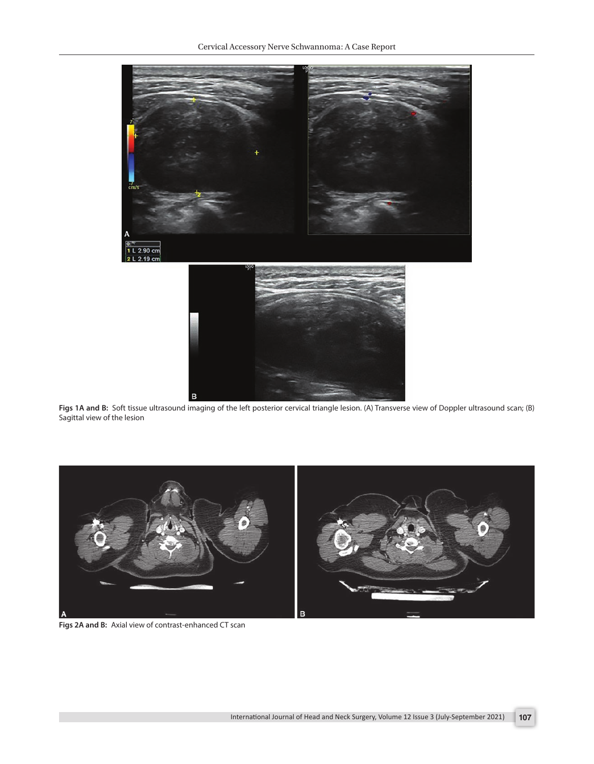

**[Figs 1A and B:](#page-0-0)** Soft tissue ultrasound imaging of the left posterior cervical triangle lesion. (A) Transverse view of Doppler ultrasound scan; (B) Sagittal view of the lesion

<span id="page-1-1"></span><span id="page-1-0"></span>

**[Figs 2A and B:](#page-0-1)** Axial view of contrast-enhanced CT scan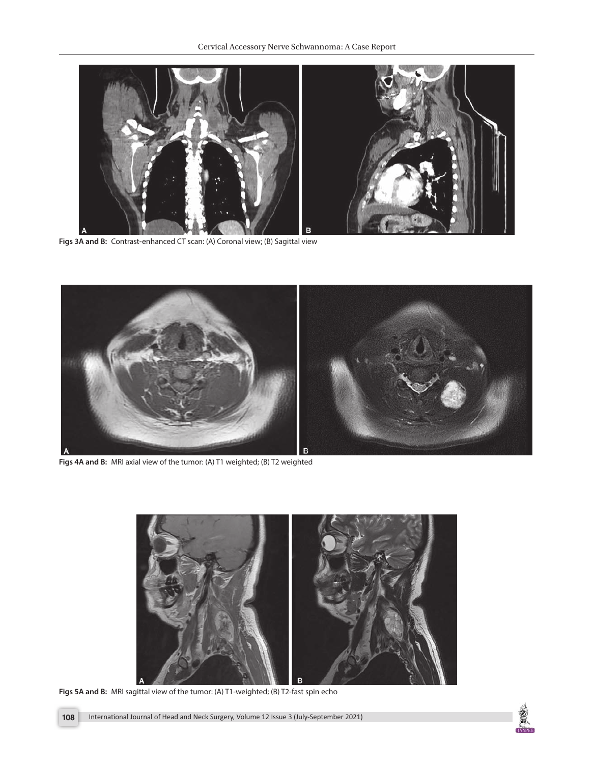

**[Figs 3A and B:](#page-0-2)** Contrast-enhanced CT scan: (A) Coronal view; (B) Sagittal view

<span id="page-2-0"></span>

**[Figs 4A and B:](#page-0-3)** MRI axial view of the tumor: (A) T1 weighted; (B) T2 weighted

<span id="page-2-2"></span><span id="page-2-1"></span>

**[Figs 5A and B:](#page-0-4)** MRI sagittal view of the tumor: (A) T1-weighted; (B) T2-fast spin echo

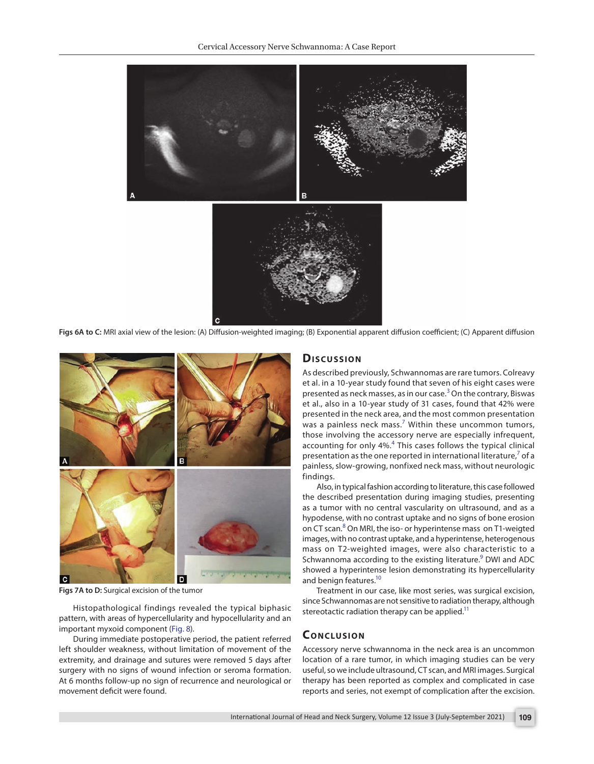Cervical Accessory Nerve Schwannoma: A Case Report



<span id="page-3-0"></span>**[Figs 6A to C:](#page-0-5)** MRI axial view of the lesion: (A) Diffusion-weighted imaging; (B) Exponential apparent diffusion coefficient; (C) Apparent diffusion



**[Figs 7A to D:](#page-0-6)** Surgical excision of the tumor

<span id="page-3-1"></span>Histopathological findings revealed the typical biphasic pattern, with areas of hypercellularity and hypocellularity and an important myxoid component ([Fig. 8\)](#page-4-11).

During immediate postoperative period, the patient referred left shoulder weakness, without limitation of movement of the extremity, and drainage and sutures were removed 5 days after surgery with no signs of wound infection or seroma formation. At 6 months follow-up no sign of recurrence and neurological or movement deficit were found.

#### **Dis c u s sio n**

As described previously, Schwannomas are rare tumors. Colreavy et al. in a 10-year study found that seven of his eight cases were presented as neck masses, as in our case.<sup>[3](#page-4-2)</sup> On the contrary, Biswas et al., also in a 10-year study of 31 cases, found that 42% were presented in the neck area, and the most common presentation was a painless neck mass.<sup>[7](#page-4-5)</sup> Within these uncommon tumors, those involving the accessory nerve are especially infrequent, accounting for only [4](#page-4-3)%.<sup>4</sup> This cases follows the typical clinical presentation as the one reported in international literature, $7$  of a painless, slow-growing, nonfixed neck mass, without neurologic findings.

<span id="page-3-2"></span>Also, in typical fashion according to literature, this case followed the described presentation during imaging studies, presenting as a tumor with no central vascularity on ultrasound, and as a hypodense, with no contrast uptake and no signs of bone erosion on CT scan.<sup>[8](#page-4-7)</sup> On MRI, the iso- or hyperintense mass on T1-weigted images, with no contrast uptake, and a hyperintense, heterogenous mass on T2-weighted images, were also characteristic to a Schwannoma according to the existing literature.<sup>[9](#page-4-8)</sup> DWI and ADC showed a hyperintense lesion demonstrating its hypercellularity and benign features.<sup>10</sup>

<span id="page-3-4"></span><span id="page-3-3"></span>Treatment in our case, like most series, was surgical excision, since Schwannomas are not sensitive to radiation therapy, although stereotactic radiation therapy can be applied. $11$ 

# <span id="page-3-6"></span><span id="page-3-5"></span>**CONCLUSION**

Accessory nerve schwannoma in the neck area is an uncommon location of a rare tumor, in which imaging studies can be very useful, so we include ultrasound, CT scan, and MRI images. Surgical therapy has been reported as complex and complicated in case reports and series, not exempt of complication after the excision.